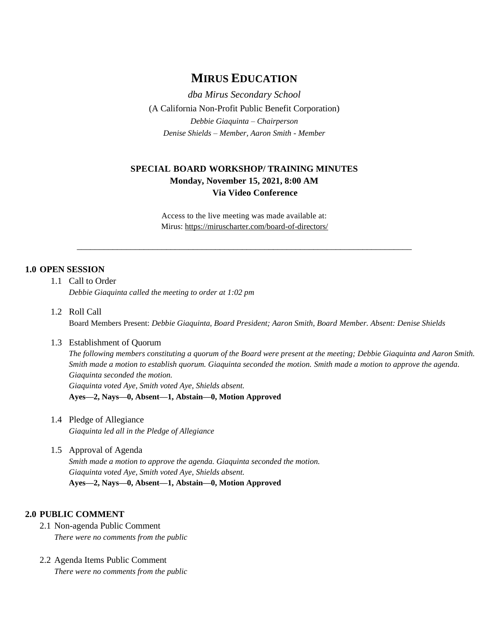# **MIRUS EDUCATION**

*dba Mirus Secondary School* (A California Non-Profit Public Benefit Corporation) *Debbie Giaquinta – Chairperson Denise Shields – Member, Aaron Smith - Member*

## **SPECIAL BOARD WORKSHOP/ TRAINING MINUTES Monday, November 15, 2021, 8:00 AM Via Video Conference**

Access to the live meeting was made available at: Mirus:<https://miruscharter.com/board-of-directors/>

\_\_\_\_\_\_\_\_\_\_\_\_\_\_\_\_\_\_\_\_\_\_\_\_\_\_\_\_\_\_\_\_\_\_\_\_\_\_\_\_\_\_\_\_\_\_\_\_\_\_\_\_\_\_\_\_\_\_\_\_\_\_\_\_\_\_\_\_\_\_\_\_\_\_\_

## **1.0 OPEN SESSION**

- 1.1 Call to Order *Debbie Giaquinta called the meeting to order at 1:02 pm*
- 1.2 Roll Call Board Members Present: *Debbie Giaquinta, Board President; Aaron Smith, Board Member. Absent: Denise Shields*

### 1.3 Establishment of Quorum

*The following members constituting a quorum of the Board were present at the meeting; Debbie Giaquinta and Aaron Smith. Smith made a motion to establish quorum. Giaquinta seconded the motion. Smith made a motion to approve the agenda. Giaquinta seconded the motion. Giaquinta voted Aye, Smith voted Aye, Shields absent.* **Ayes—2, Nays—0, Absent—1, Abstain—0, Motion Approved**

- 1.4 Pledge of Allegiance *Giaquinta led all in the Pledge of Allegiance*
- 1.5 Approval of Agenda *Smith made a motion to approve the agenda. Giaquinta seconded the motion. Giaquinta voted Aye, Smith voted Aye, Shields absent.* **Ayes—2, Nays—0, Absent—1, Abstain—0, Motion Approved**

### **2.0 PUBLIC COMMENT**

- 2.1 Non-agenda Public Comment *There were no comments from the public*
- 2.2 Agenda Items Public Comment *There were no comments from the public*